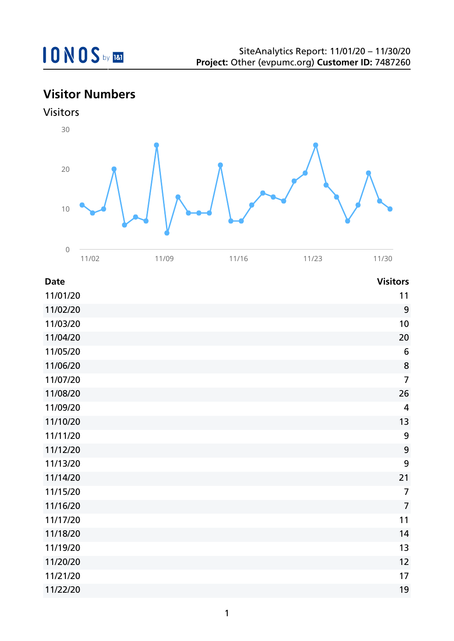

## **Visitor Numbers**

Visitors



| <b>Date</b> | <b>Visitors</b>  |
|-------------|------------------|
| 11/01/20    | 11               |
| 11/02/20    | 9                |
| 11/03/20    | 10               |
| 11/04/20    | 20               |
| 11/05/20    | $6\,$            |
| 11/06/20    | 8                |
| 11/07/20    | $\overline{7}$   |
| 11/08/20    | 26               |
| 11/09/20    | $\overline{4}$   |
| 11/10/20    | 13               |
| 11/11/20    | 9                |
| 11/12/20    | $\boldsymbol{9}$ |
| 11/13/20    | 9                |
| 11/14/20    | 21               |
| 11/15/20    | $\overline{7}$   |
| 11/16/20    | $\overline{7}$   |
| 11/17/20    | 11               |
| 11/18/20    | 14               |
| 11/19/20    | 13               |
| 11/20/20    | 12               |
| 11/21/20    | 17               |
| 11/22/20    | 19               |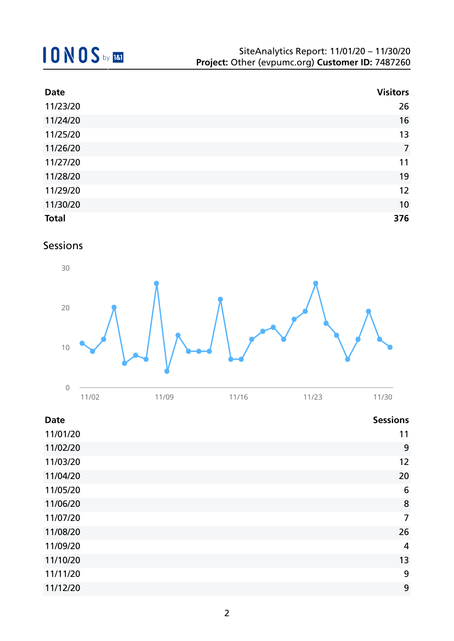| <b>Date</b>  | <b>Visitors</b> |
|--------------|-----------------|
| 11/23/20     | 26              |
| 11/24/20     | 16              |
| 11/25/20     | 13              |
| 11/26/20     | $\overline{7}$  |
| 11/27/20     | 11              |
| 11/28/20     | 19              |
| 11/29/20     | 12              |
| 11/30/20     | 10              |
| <b>Total</b> | 376             |

Sessions



| 11/02 | 11/09 | 11/16 | 11/23 | 11/30 |
|-------|-------|-------|-------|-------|
|       |       |       |       |       |

| Date     | <b>Sessions</b> |
|----------|-----------------|
| 11/01/20 | 11              |
| 11/02/20 | 9               |
| 11/03/20 | 12              |
| 11/04/20 | 20              |
| 11/05/20 | 6               |
| 11/06/20 | 8               |
| 11/07/20 | $\overline{7}$  |
| 11/08/20 | 26              |
| 11/09/20 | $\overline{4}$  |
| 11/10/20 | 13              |
| 11/11/20 | 9               |
| 11/12/20 | 9               |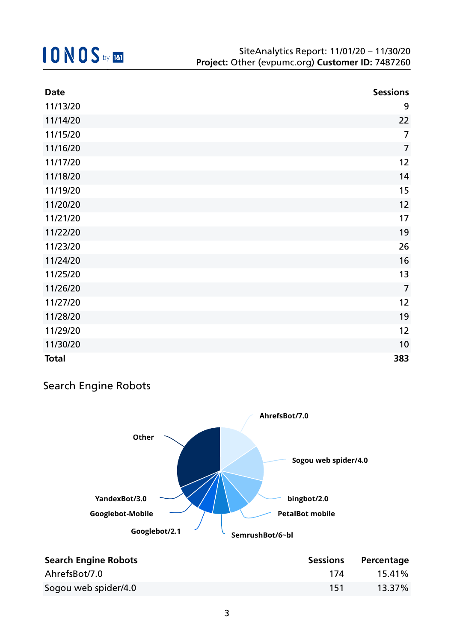| <b>Date</b>  | <b>Sessions</b> |
|--------------|-----------------|
| 11/13/20     | 9               |
| 11/14/20     | 22              |
| 11/15/20     | 7               |
| 11/16/20     | $\overline{7}$  |
| 11/17/20     | 12              |
| 11/18/20     | 14              |
| 11/19/20     | 15              |
| 11/20/20     | 12              |
| 11/21/20     | 17              |
| 11/22/20     | 19              |
| 11/23/20     | 26              |
| 11/24/20     | 16              |
| 11/25/20     | 13              |
| 11/26/20     | $\overline{7}$  |
| 11/27/20     | 12              |
| 11/28/20     | 19              |
| 11/29/20     | 12              |
| 11/30/20     | 10              |
| <b>Total</b> | 383             |

### Search Engine Robots



| <b>Search Engine Robots</b> | <b>Sessions</b> | Percentage |
|-----------------------------|-----------------|------------|
| AhrefsBot/7.0               | 174             | 15.41%     |
| Sogou web spider/4.0        | 151             | 13.37%     |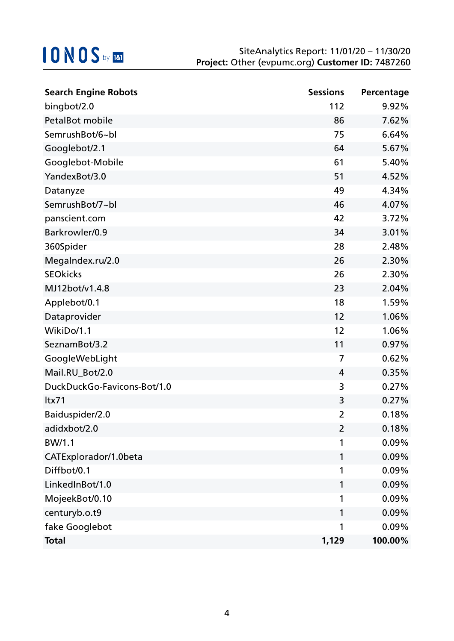| <b>Search Engine Robots</b> | <b>Sessions</b> | Percentage |
|-----------------------------|-----------------|------------|
| bingbot/2.0                 | 112             | 9.92%      |
| PetalBot mobile             | 86              | 7.62%      |
| SemrushBot/6~bl             | 75              | 6.64%      |
| Googlebot/2.1               | 64              | 5.67%      |
| Googlebot-Mobile            | 61              | 5.40%      |
| YandexBot/3.0               | 51              | 4.52%      |
| Datanyze                    | 49              | 4.34%      |
| SemrushBot/7~bl             | 46              | 4.07%      |
| panscient.com               | 42              | 3.72%      |
| Barkrowler/0.9              | 34              | 3.01%      |
| 360Spider                   | 28              | 2.48%      |
| MegaIndex.ru/2.0            | 26              | 2.30%      |
| <b>SEOkicks</b>             | 26              | 2.30%      |
| MJ12bot/v1.4.8              | 23              | 2.04%      |
| Applebot/0.1                | 18              | 1.59%      |
| Dataprovider                | 12              | 1.06%      |
| WikiDo/1.1                  | 12              | 1.06%      |
| SeznamBot/3.2               | 11              | 0.97%      |
| GoogleWebLight              | 7               | 0.62%      |
| Mail.RU_Bot/2.0             | 4               | 0.35%      |
| DuckDuckGo-Favicons-Bot/1.0 | 3               | 0.27%      |
| ltx71                       | 3               | 0.27%      |
| Baiduspider/2.0             | 2               | 0.18%      |
| adidxbot/2.0                | $\overline{2}$  | 0.18%      |
| BW/1.1                      | 1               | 0.09%      |
| CATExplorador/1.0beta       | 1               | 0.09%      |
| Diffbot/0.1                 | 1               | 0.09%      |
| LinkedInBot/1.0             | 1               | 0.09%      |
| MojeekBot/0.10              | 1               | 0.09%      |
| centuryb.o.t9               | 1               | 0.09%      |
| fake Googlebot              | 1               | 0.09%      |
| <b>Total</b>                | 1,129           | 100.00%    |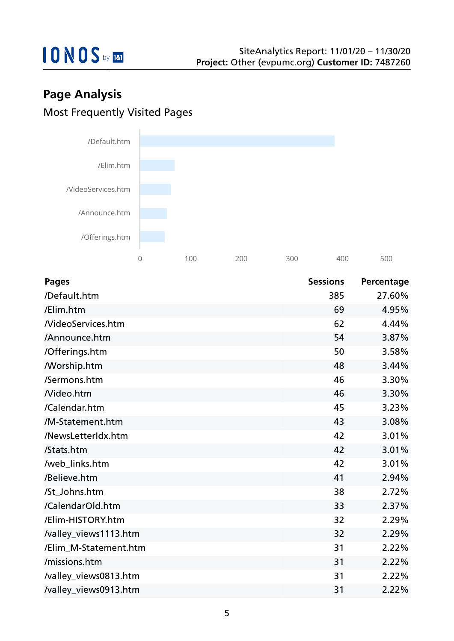

## **Page Analysis** Most Frequently Visited Pages



| <b>Pages</b>             | <b>Sessions</b> | Percentage |
|--------------------------|-----------------|------------|
| /Default.htm             | 385             | 27.60%     |
| /Elim.htm                | 69              | 4.95%      |
| <b>NideoServices.htm</b> | 62              | 4.44%      |
| /Announce.htm            | 54              | 3.87%      |
| /Offerings.htm           | 50              | 3.58%      |
| <b>Morship.htm</b>       | 48              | 3.44%      |
| /Sermons.htm             | 46              | 3.30%      |
| Nideo.htm                | 46              | 3.30%      |
| /Calendar.htm            | 45              | 3.23%      |
| /M-Statement.htm         | 43              | 3.08%      |
| /NewsLetterIdx.htm       | 42              | 3.01%      |
| /Stats.htm               | 42              | 3.01%      |
| /web_links.htm           | 42              | 3.01%      |
| /Believe.htm             | 41              | 2.94%      |
| /St_Johns.htm            | 38              | 2.72%      |
| /CalendarOld.htm         | 33              | 2.37%      |
| /Elim-HISTORY.htm        | 32              | 2.29%      |
| /valley_views1113.htm    | 32              | 2.29%      |
| /Elim_M-Statement.htm    | 31              | 2.22%      |
| /missions.htm            | 31              | 2.22%      |
| /valley_views0813.htm    | 31              | 2.22%      |
| /valley_views0913.htm    | 31              | 2.22%      |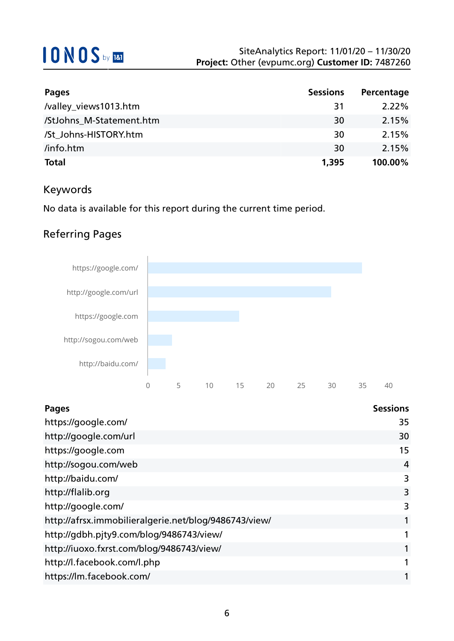| <b>Pages</b>             | <b>Sessions</b> | Percentage |
|--------------------------|-----------------|------------|
| /valley_views1013.htm    | 31              | $2.22\%$   |
| /StJohns M-Statement.htm | 30              | 2.15%      |
| /St Johns-HISTORY.htm    | 30              | 2.15%      |
| /info.htm                | 30              | 2.15%      |
| <b>Total</b>             | 1,395           | 100.00%    |

### Keywords

No data is available for this report during the current time period.

## Referring Pages



| <b>Pages</b>                                          | <b>Sessions</b> |
|-------------------------------------------------------|-----------------|
| https://google.com/                                   | 35              |
| http://google.com/url                                 | 30              |
| https://google.com                                    | 15              |
| http://sogou.com/web                                  | 4               |
| http://baidu.com/                                     | 3               |
| http://flalib.org                                     | 3               |
| http://google.com/                                    | 3               |
| http://afrsx.immobilieralgerie.net/blog/9486743/view/ | 1               |
| http://gdbh.pjty9.com/blog/9486743/view/              | 1               |
| http://iuoxo.fxrst.com/blog/9486743/view/             | 1               |
| http://l.facebook.com/l.php                           | 1               |
| https://lm.facebook.com/                              | 1               |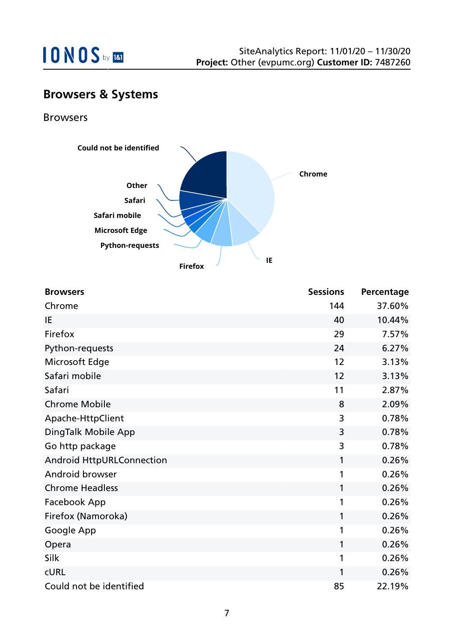

## **Browsers & Systems**

Browsers



| <b>Browsers</b>                  | <b>Sessions</b> | Percentage |
|----------------------------------|-----------------|------------|
| Chrome                           | 144             | 37.60%     |
| IE                               | 40              | 10.44%     |
| Firefox                          | 29              | 7.57%      |
| Python-requests                  | 24              | 6.27%      |
| Microsoft Edge                   | 12              | 3.13%      |
| Safari mobile                    | 12              | 3.13%      |
| Safari                           | 11              | 2.87%      |
| <b>Chrome Mobile</b>             | 8               | 2.09%      |
| Apache-HttpClient                | 3               | 0.78%      |
| DingTalk Mobile App              | 3               | 0.78%      |
| Go http package                  | 3               | 0.78%      |
| <b>Android HttpURLConnection</b> | 1               | 0.26%      |
| Android browser                  | 1               | 0.26%      |
| <b>Chrome Headless</b>           | 1               | 0.26%      |
| Facebook App                     | 1               | 0.26%      |
| Firefox (Namoroka)               | 1               | 0.26%      |
| Google App                       | 1               | 0.26%      |
| Opera                            | 1               | 0.26%      |
| Silk                             | 1               | 0.26%      |
| <b>CURL</b>                      | 1               | 0.26%      |
| Could not be identified          | 85              | 22.19%     |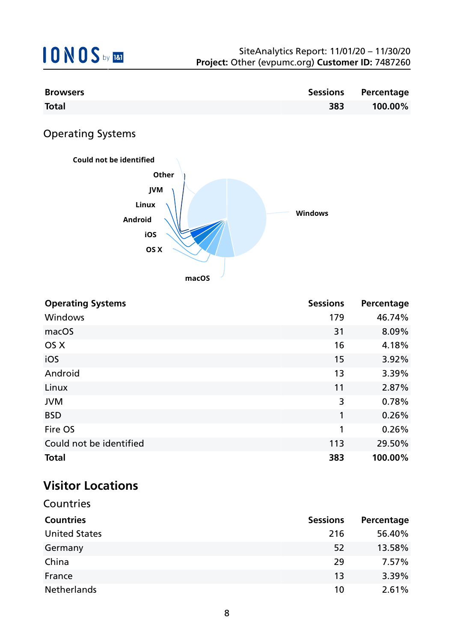| <b>Browsers</b> |     | <b>Sessions Percentage</b> |
|-----------------|-----|----------------------------|
| <b>Total</b>    | 383 | 100.00%                    |

Operating Systems



**macOS**

| <b>Operating Systems</b> | <b>Sessions</b> | Percentage |
|--------------------------|-----------------|------------|
| Windows                  | 179             | 46.74%     |
| macOS                    | 31              | 8.09%      |
| OS X                     | 16              | 4.18%      |
| iOS                      | 15              | 3.92%      |
| Android                  | 13              | 3.39%      |
| Linux                    | 11              | 2.87%      |
| <b>JVM</b>               | 3               | 0.78%      |
| <b>BSD</b>               | 1               | 0.26%      |
| Fire OS                  | 1               | 0.26%      |
| Could not be identified  | 113             | 29.50%     |
| <b>Total</b>             | 383             | 100.00%    |

## **Visitor Locations**

| Countries            |                 |            |
|----------------------|-----------------|------------|
| <b>Countries</b>     | <b>Sessions</b> | Percentage |
| <b>United States</b> | 216             | 56.40%     |
| Germany              | 52              | 13.58%     |
| China                | 29              | 7.57%      |
| France               | 13              | 3.39%      |
| <b>Netherlands</b>   | 10              | 2.61%      |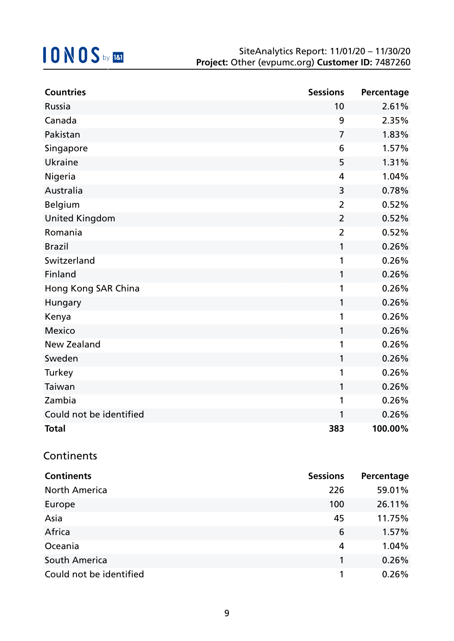| <b>Countries</b>        | <b>Sessions</b> | Percentage |
|-------------------------|-----------------|------------|
| Russia                  | 10              | 2.61%      |
| Canada                  | 9               | 2.35%      |
| Pakistan                | 7               | 1.83%      |
| Singapore               | 6               | 1.57%      |
| <b>Ukraine</b>          | 5               | 1.31%      |
| Nigeria                 | $\overline{4}$  | 1.04%      |
| Australia               | 3               | 0.78%      |
| <b>Belgium</b>          | $\overline{2}$  | 0.52%      |
| <b>United Kingdom</b>   | $\overline{2}$  | 0.52%      |
| Romania                 | $\overline{2}$  | 0.52%      |
| <b>Brazil</b>           | 1               | 0.26%      |
| Switzerland             | 1               | 0.26%      |
| Finland                 | 1               | 0.26%      |
| Hong Kong SAR China     | 1               | 0.26%      |
| Hungary                 | 1               | 0.26%      |
| Kenya                   | 1               | 0.26%      |
| <b>Mexico</b>           | 1               | 0.26%      |
| <b>New Zealand</b>      | 1               | 0.26%      |
| Sweden                  | 1               | 0.26%      |
| Turkey                  | 1               | 0.26%      |
| Taiwan                  | 1               | 0.26%      |
| Zambia                  | 1               | 0.26%      |
| Could not be identified | 1               | 0.26%      |
| <b>Total</b>            | 383             | 100.00%    |

### **Continents**

| <b>Continents</b>       | <b>Sessions</b> | Percentage |
|-------------------------|-----------------|------------|
| <b>North America</b>    | 226             | 59.01%     |
| Europe                  | 100             | 26.11%     |
| Asia                    | 45              | 11.75%     |
| Africa                  | 6               | 1.57%      |
| Oceania                 | 4               | 1.04%      |
| South America           |                 | 0.26%      |
| Could not be identified |                 | 0.26%      |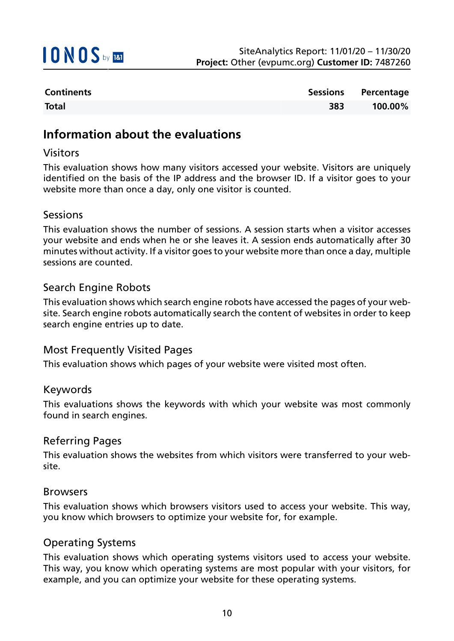

| <b>Continents</b> |     | Sessions Percentage |
|-------------------|-----|---------------------|
| <b>Total</b>      | 383 | 100.00%             |

### **Information about the evaluations**

#### Visitors

This evaluation shows how many visitors accessed your website. Visitors are uniquely identified on the basis of the IP address and the browser ID. If a visitor goes to your website more than once a day, only one visitor is counted.

#### Sessions

This evaluation shows the number of sessions. A session starts when a visitor accesses your website and ends when he or she leaves it. A session ends automatically after 30 minutes without activity. If a visitor goes to your website more than once a day, multiple sessions are counted.

#### Search Engine Robots

This evaluation shows which search engine robots have accessed the pages of your website. Search engine robots automatically search the content of websites in order to keep search engine entries up to date.

#### Most Frequently Visited Pages

This evaluation shows which pages of your website were visited most often.

#### Keywords

This evaluations shows the keywords with which your website was most commonly found in search engines.

#### Referring Pages

This evaluation shows the websites from which visitors were transferred to your website.

#### Browsers

This evaluation shows which browsers visitors used to access your website. This way, you know which browsers to optimize your website for, for example.

#### Operating Systems

This evaluation shows which operating systems visitors used to access your website. This way, you know which operating systems are most popular with your visitors, for example, and you can optimize your website for these operating systems.